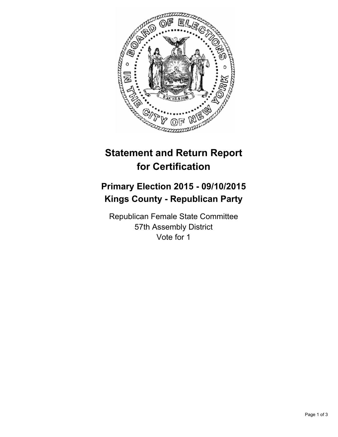

## **Statement and Return Report for Certification**

## **Primary Election 2015 - 09/10/2015 Kings County - Republican Party**

Republican Female State Committee 57th Assembly District Vote for 1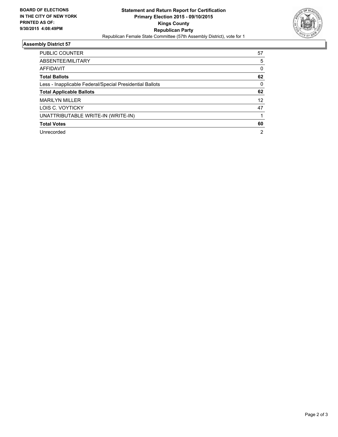

## **Assembly District 57**

| <b>PUBLIC COUNTER</b>                                    | 57             |
|----------------------------------------------------------|----------------|
| ABSENTEE/MILITARY                                        | 5              |
| <b>AFFIDAVIT</b>                                         | 0              |
| <b>Total Ballots</b>                                     | 62             |
| Less - Inapplicable Federal/Special Presidential Ballots | $\Omega$       |
| <b>Total Applicable Ballots</b>                          | 62             |
| <b>MARILYN MILLER</b>                                    | 12             |
| LOIS C. VOYTICKY                                         | 47             |
| UNATTRIBUTABLE WRITE-IN (WRITE-IN)                       |                |
| <b>Total Votes</b>                                       | 60             |
| Unrecorded                                               | $\overline{2}$ |